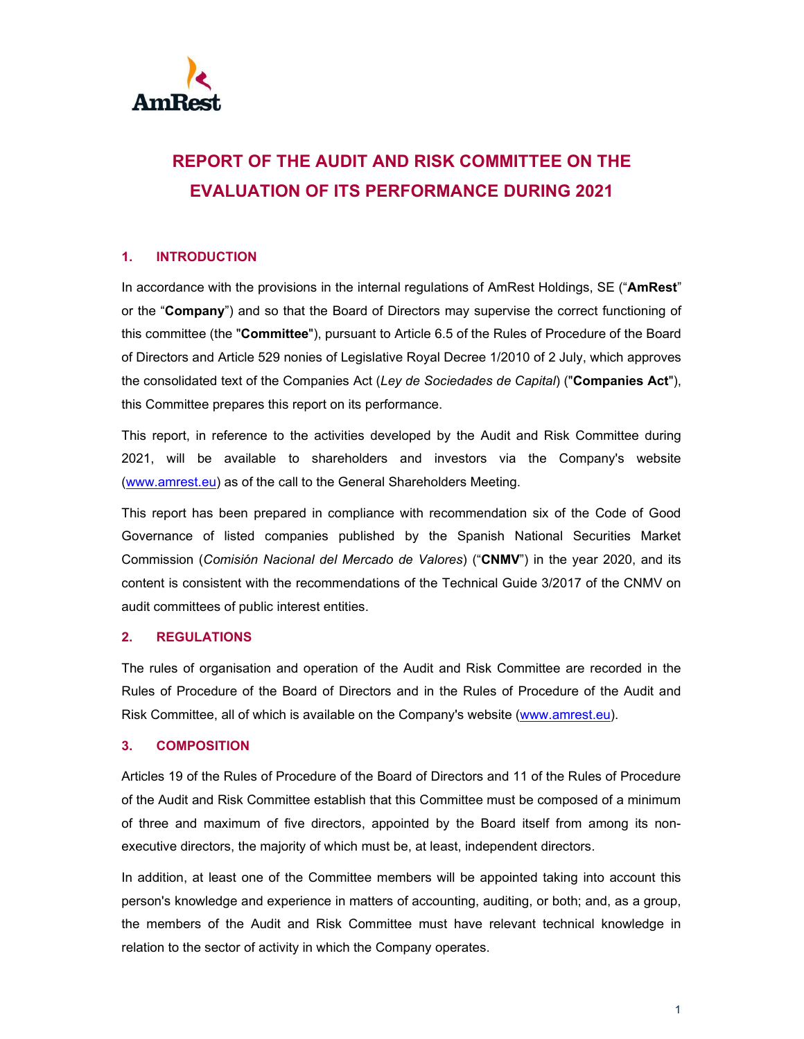

# **REPORT OF THE AUDIT AND RISK COMMITTEE ON THE EVALUATION OF ITS PERFORMANCE DURING 2021**

# **1. INTRODUCTION**

In accordance with the provisions in the internal regulations of AmRest Holdings, SE ("**AmRest**" or the "**Company**") and so that the Board of Directors may supervise the correct functioning of this committee (the "**Committee**"), pursuant to Article 6.5 of the Rules of Procedure of the Board of Directors and Article 529 nonies of Legislative Royal Decree 1/2010 of 2 July, which approves the consolidated text of the Companies Act (*Ley de Sociedades de Capital*) ("**Companies Act**"), this Committee prepares this report on its performance.

This report, in reference to the activities developed by the Audit and Risk Committee during 2021, will be available to shareholders and investors via the Company's website (www.amrest.eu) as of the call to the General Shareholders Meeting.

This report has been prepared in compliance with recommendation six of the Code of Good Governance of listed companies published by the Spanish National Securities Market Commission (*Comisión Nacional del Mercado de Valores*) ("**CNMV**") in the year 2020, and its content is consistent with the recommendations of the Technical Guide 3/2017 of the CNMV on audit committees of public interest entities.

# **2. REGULATIONS**

The rules of organisation and operation of the Audit and Risk Committee are recorded in the Rules of Procedure of the Board of Directors and in the Rules of Procedure of the Audit and Risk Committee, all of which is available on the Company's website (www.amrest.eu).

### **3. COMPOSITION**

Articles 19 of the Rules of Procedure of the Board of Directors and 11 of the Rules of Procedure of the Audit and Risk Committee establish that this Committee must be composed of a minimum of three and maximum of five directors, appointed by the Board itself from among its nonexecutive directors, the majority of which must be, at least, independent directors.

In addition, at least one of the Committee members will be appointed taking into account this person's knowledge and experience in matters of accounting, auditing, or both; and, as a group, the members of the Audit and Risk Committee must have relevant technical knowledge in relation to the sector of activity in which the Company operates.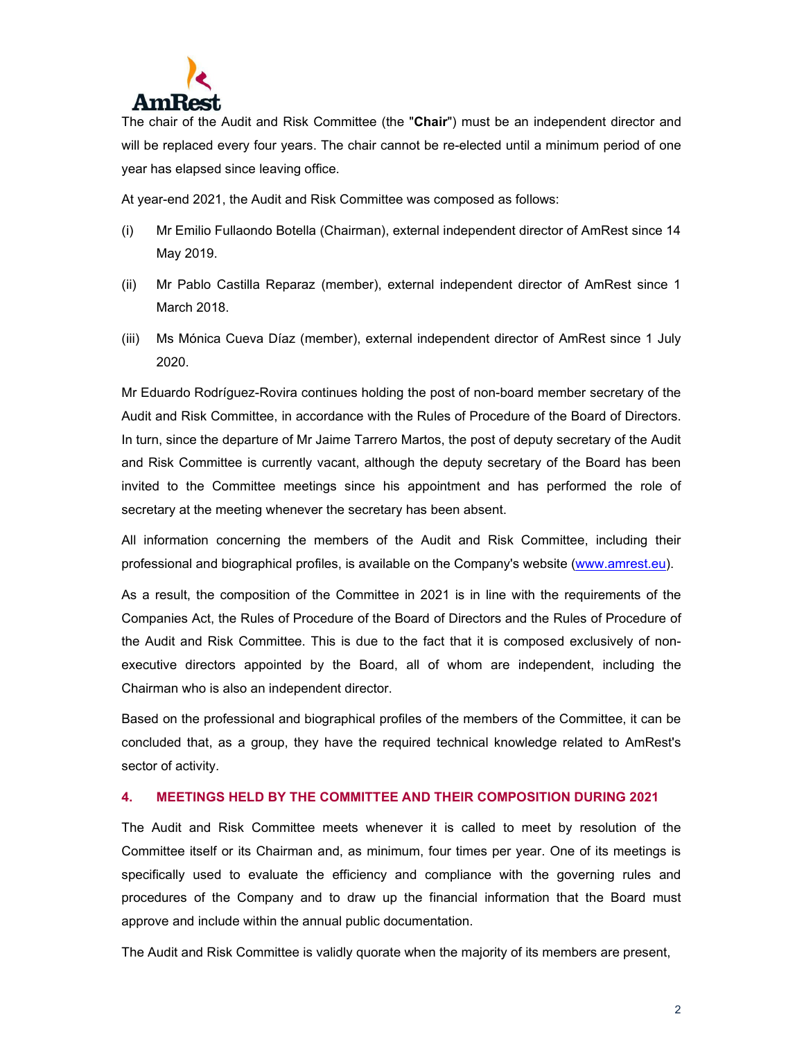

The chair of the Audit and Risk Committee (the "**Chair**") must be an independent director and will be replaced every four years. The chair cannot be re-elected until a minimum period of one year has elapsed since leaving office.

At year-end 2021, the Audit and Risk Committee was composed as follows:

- (i) Mr Emilio Fullaondo Botella (Chairman), external independent director of AmRest since 14 May 2019.
- (ii) Mr Pablo Castilla Reparaz (member), external independent director of AmRest since 1 March 2018.
- (iii) Ms Mónica Cueva Díaz (member), external independent director of AmRest since 1 July 2020.

Mr Eduardo Rodríguez-Rovira continues holding the post of non-board member secretary of the Audit and Risk Committee, in accordance with the Rules of Procedure of the Board of Directors. In turn, since the departure of Mr Jaime Tarrero Martos, the post of deputy secretary of the Audit and Risk Committee is currently vacant, although the deputy secretary of the Board has been invited to the Committee meetings since his appointment and has performed the role of secretary at the meeting whenever the secretary has been absent.

All information concerning the members of the Audit and Risk Committee, including their professional and biographical profiles, is available on the Company's website (www.amrest.eu).

As a result, the composition of the Committee in 2021 is in line with the requirements of the Companies Act, the Rules of Procedure of the Board of Directors and the Rules of Procedure of the Audit and Risk Committee. This is due to the fact that it is composed exclusively of nonexecutive directors appointed by the Board, all of whom are independent, including the Chairman who is also an independent director.

Based on the professional and biographical profiles of the members of the Committee, it can be concluded that, as a group, they have the required technical knowledge related to AmRest's sector of activity.

# **4. MEETINGS HELD BY THE COMMITTEE AND THEIR COMPOSITION DURING 2021**

The Audit and Risk Committee meets whenever it is called to meet by resolution of the Committee itself or its Chairman and, as minimum, four times per year. One of its meetings is specifically used to evaluate the efficiency and compliance with the governing rules and procedures of the Company and to draw up the financial information that the Board must approve and include within the annual public documentation.

The Audit and Risk Committee is validly quorate when the majority of its members are present,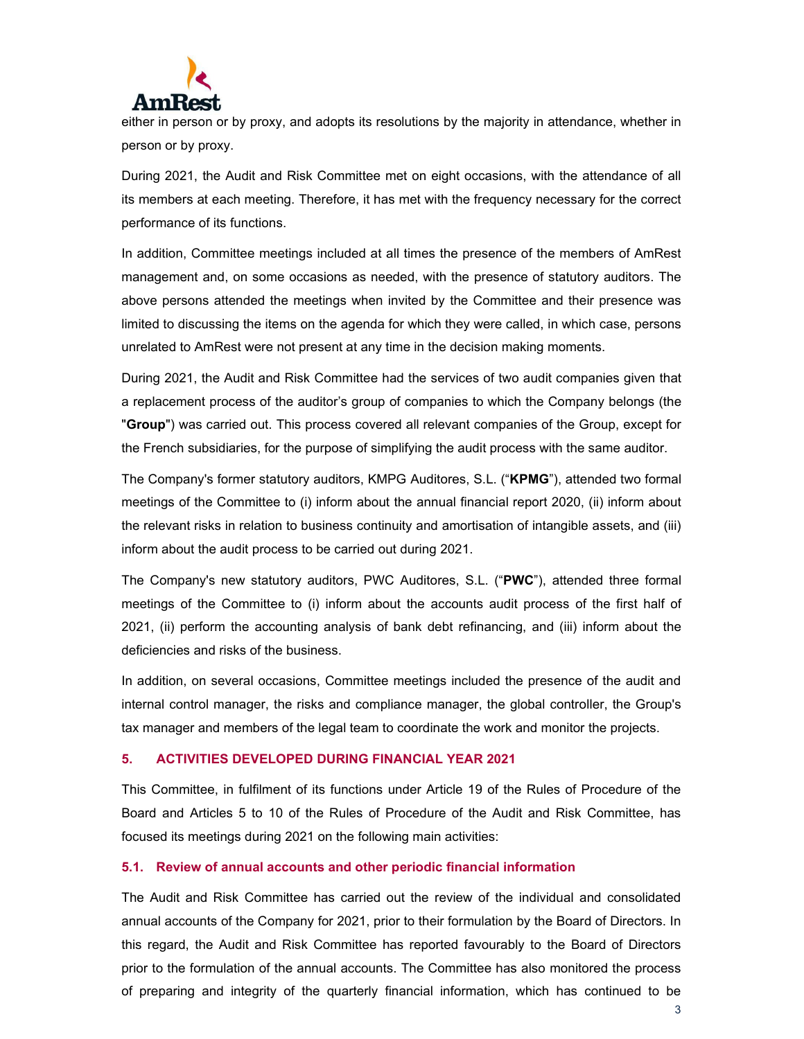

either in person or by proxy, and adopts its resolutions by the majority in attendance, whether in person or by proxy.

During 2021, the Audit and Risk Committee met on eight occasions, with the attendance of all its members at each meeting. Therefore, it has met with the frequency necessary for the correct performance of its functions.

In addition, Committee meetings included at all times the presence of the members of AmRest management and, on some occasions as needed, with the presence of statutory auditors. The above persons attended the meetings when invited by the Committee and their presence was limited to discussing the items on the agenda for which they were called, in which case, persons unrelated to AmRest were not present at any time in the decision making moments.

During 2021, the Audit and Risk Committee had the services of two audit companies given that a replacement process of the auditor's group of companies to which the Company belongs (the "**Group**") was carried out. This process covered all relevant companies of the Group, except for the French subsidiaries, for the purpose of simplifying the audit process with the same auditor.

The Company's former statutory auditors, KMPG Auditores, S.L. ("**KPMG**"), attended two formal meetings of the Committee to (i) inform about the annual financial report 2020, (ii) inform about the relevant risks in relation to business continuity and amortisation of intangible assets, and (iii) inform about the audit process to be carried out during 2021.

The Company's new statutory auditors, PWC Auditores, S.L. ("**PWC**"), attended three formal meetings of the Committee to (i) inform about the accounts audit process of the first half of 2021, (ii) perform the accounting analysis of bank debt refinancing, and (iii) inform about the deficiencies and risks of the business.

In addition, on several occasions, Committee meetings included the presence of the audit and internal control manager, the risks and compliance manager, the global controller, the Group's tax manager and members of the legal team to coordinate the work and monitor the projects.

### **5. ACTIVITIES DEVELOPED DURING FINANCIAL YEAR 2021**

This Committee, in fulfilment of its functions under Article 19 of the Rules of Procedure of the Board and Articles 5 to 10 of the Rules of Procedure of the Audit and Risk Committee, has focused its meetings during 2021 on the following main activities:

### **5.1. Review of annual accounts and other periodic financial information**

The Audit and Risk Committee has carried out the review of the individual and consolidated annual accounts of the Company for 2021, prior to their formulation by the Board of Directors. In this regard, the Audit and Risk Committee has reported favourably to the Board of Directors prior to the formulation of the annual accounts. The Committee has also monitored the process of preparing and integrity of the quarterly financial information, which has continued to be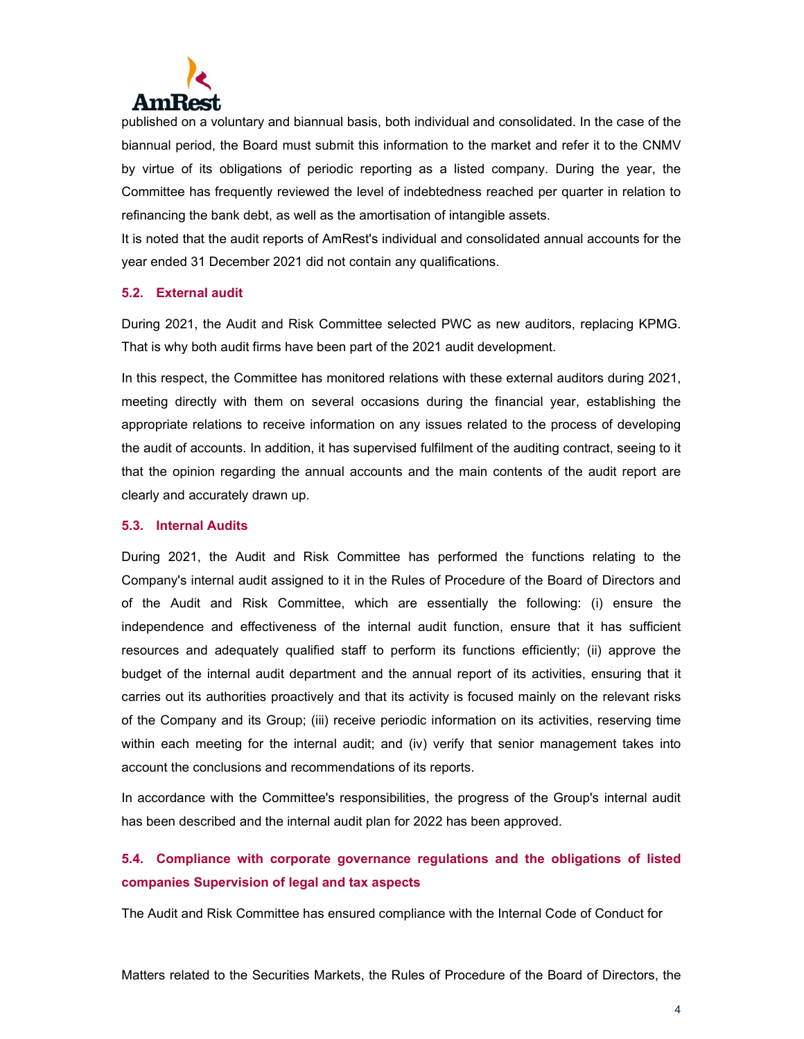

published on a voluntary and biannual basis, both individual and consolidated. In the case of the biannual period, the Board must submit this information to the market and refer it to the CNMV by virtue of its obligations of periodic reporting as a listed company. During the year, the Committee has frequently reviewed the level of indebtedness reached per quarter in relation to refinancing the bank debt, as well as the amortisation of intangible assets.

It is noted that the audit reports of AmRest's individual and consolidated annual accounts for the year ended 31 December 2021 did not contain any qualifications.

### **5.2. External audit**

During 2021, the Audit and Risk Committee selected PWC as new auditors, replacing KPMG. That is why both audit firms have been part of the 2021 audit development.

In this respect, the Committee has monitored relations with these external auditors during 2021, meeting directly with them on several occasions during the financial year, establishing the appropriate relations to receive information on any issues related to the process of developing the audit of accounts. In addition, it has supervised fulfilment of the auditing contract, seeing to it that the opinion regarding the annual accounts and the main contents of the audit report are clearly and accurately drawn up.

### **5.3. Internal Audits**

During 2021, the Audit and Risk Committee has performed the functions relating to the Company's internal audit assigned to it in the Rules of Procedure of the Board of Directors and of the Audit and Risk Committee, which are essentially the following: (i) ensure the independence and effectiveness of the internal audit function, ensure that it has sufficient resources and adequately qualified staff to perform its functions efficiently; (ii) approve the budget of the internal audit department and the annual report of its activities, ensuring that it carries out its authorities proactively and that its activity is focused mainly on the relevant risks of the Company and its Group; (iii) receive periodic information on its activities, reserving time within each meeting for the internal audit; and (iv) verify that senior management takes into account the conclusions and recommendations of its reports.

In accordance with the Committee's responsibilities, the progress of the Group's internal audit has been described and the internal audit plan for 2022 has been approved.

# **5.4. Compliance with corporate governance regulations and the obligations of listed companies Supervision of legal and tax aspects**

The Audit and Risk Committee has ensured compliance with the Internal Code of Conduct for

Matters related to the Securities Markets, the Rules of Procedure of the Board of Directors, the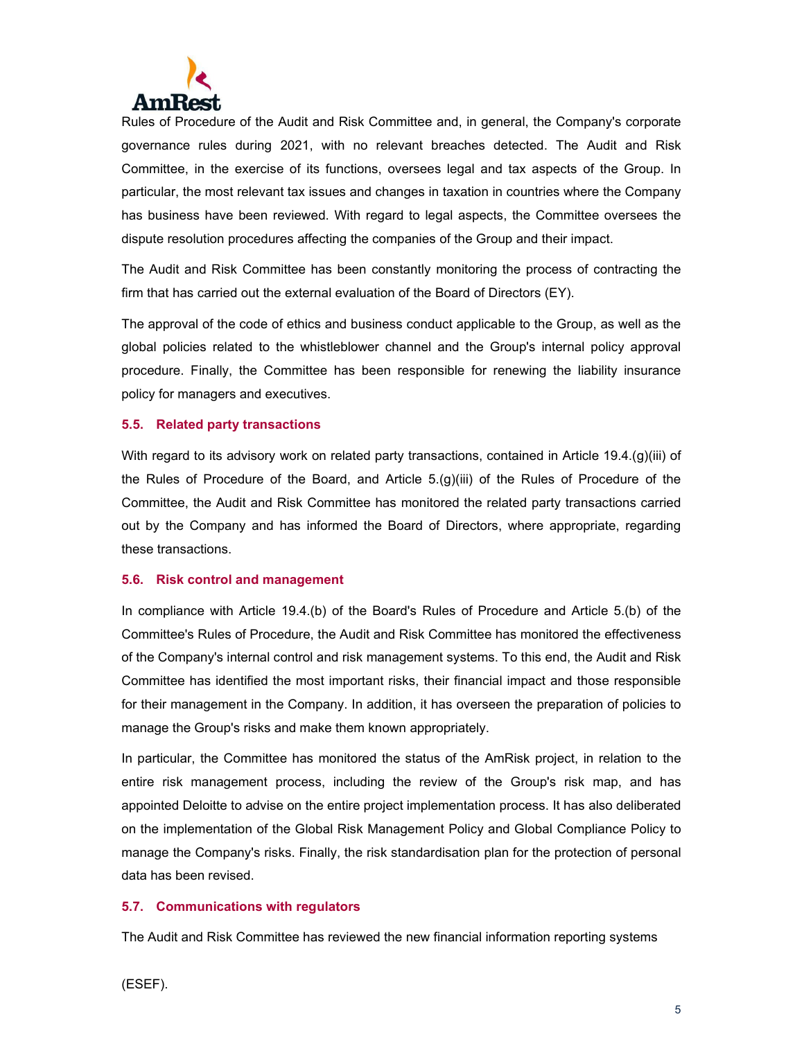

Rules of Procedure of the Audit and Risk Committee and, in general, the Company's corporate governance rules during 2021, with no relevant breaches detected. The Audit and Risk Committee, in the exercise of its functions, oversees legal and tax aspects of the Group. In particular, the most relevant tax issues and changes in taxation in countries where the Company has business have been reviewed. With regard to legal aspects, the Committee oversees the dispute resolution procedures affecting the companies of the Group and their impact.

The Audit and Risk Committee has been constantly monitoring the process of contracting the firm that has carried out the external evaluation of the Board of Directors (EY).

The approval of the code of ethics and business conduct applicable to the Group, as well as the global policies related to the whistleblower channel and the Group's internal policy approval procedure. Finally, the Committee has been responsible for renewing the liability insurance policy for managers and executives.

### **5.5. Related party transactions**

With regard to its advisory work on related party transactions, contained in Article 19.4.(g)(iii) of the Rules of Procedure of the Board, and Article 5.(g)(iii) of the Rules of Procedure of the Committee, the Audit and Risk Committee has monitored the related party transactions carried out by the Company and has informed the Board of Directors, where appropriate, regarding these transactions.

#### **5.6. Risk control and management**

In compliance with Article 19.4.(b) of the Board's Rules of Procedure and Article 5.(b) of the Committee's Rules of Procedure, the Audit and Risk Committee has monitored the effectiveness of the Company's internal control and risk management systems. To this end, the Audit and Risk Committee has identified the most important risks, their financial impact and those responsible for their management in the Company. In addition, it has overseen the preparation of policies to manage the Group's risks and make them known appropriately.

In particular, the Committee has monitored the status of the AmRisk project, in relation to the entire risk management process, including the review of the Group's risk map, and has appointed Deloitte to advise on the entire project implementation process. It has also deliberated on the implementation of the Global Risk Management Policy and Global Compliance Policy to manage the Company's risks. Finally, the risk standardisation plan for the protection of personal data has been revised.

#### **5.7. Communications with regulators**

The Audit and Risk Committee has reviewed the new financial information reporting systems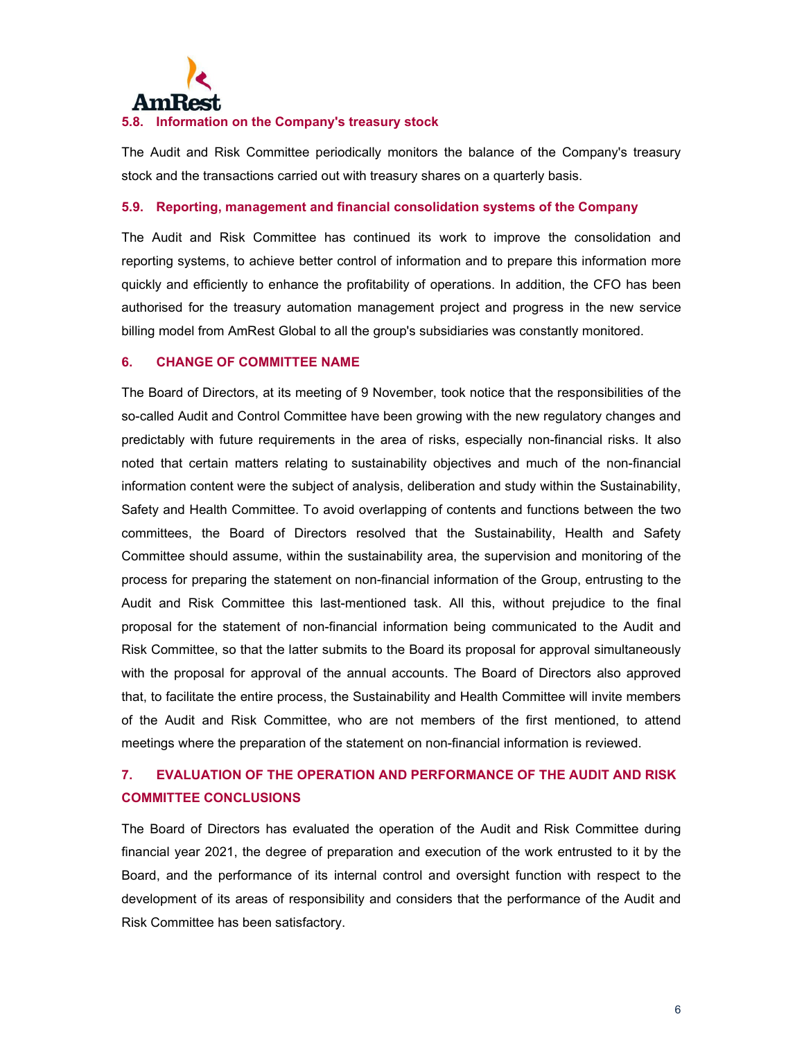

### **5.8. Information on the Company's treasury stock**

The Audit and Risk Committee periodically monitors the balance of the Company's treasury stock and the transactions carried out with treasury shares on a quarterly basis.

### **5.9. Reporting, management and financial consolidation systems of the Company**

The Audit and Risk Committee has continued its work to improve the consolidation and reporting systems, to achieve better control of information and to prepare this information more quickly and efficiently to enhance the profitability of operations. In addition, the CFO has been authorised for the treasury automation management project and progress in the new service billing model from AmRest Global to all the group's subsidiaries was constantly monitored.

### **6. CHANGE OF COMMITTEE NAME**

The Board of Directors, at its meeting of 9 November, took notice that the responsibilities of the so-called Audit and Control Committee have been growing with the new regulatory changes and predictably with future requirements in the area of risks, especially non-financial risks. It also noted that certain matters relating to sustainability objectives and much of the non-financial information content were the subject of analysis, deliberation and study within the Sustainability, Safety and Health Committee. To avoid overlapping of contents and functions between the two committees, the Board of Directors resolved that the Sustainability, Health and Safety Committee should assume, within the sustainability area, the supervision and monitoring of the process for preparing the statement on non-financial information of the Group, entrusting to the Audit and Risk Committee this last-mentioned task. All this, without prejudice to the final proposal for the statement of non-financial information being communicated to the Audit and Risk Committee, so that the latter submits to the Board its proposal for approval simultaneously with the proposal for approval of the annual accounts. The Board of Directors also approved that, to facilitate the entire process, the Sustainability and Health Committee will invite members of the Audit and Risk Committee, who are not members of the first mentioned, to attend meetings where the preparation of the statement on non-financial information is reviewed.

# **7. EVALUATION OF THE OPERATION AND PERFORMANCE OF THE AUDIT AND RISK COMMITTEE CONCLUSIONS**

The Board of Directors has evaluated the operation of the Audit and Risk Committee during financial year 2021, the degree of preparation and execution of the work entrusted to it by the Board, and the performance of its internal control and oversight function with respect to the development of its areas of responsibility and considers that the performance of the Audit and Risk Committee has been satisfactory.